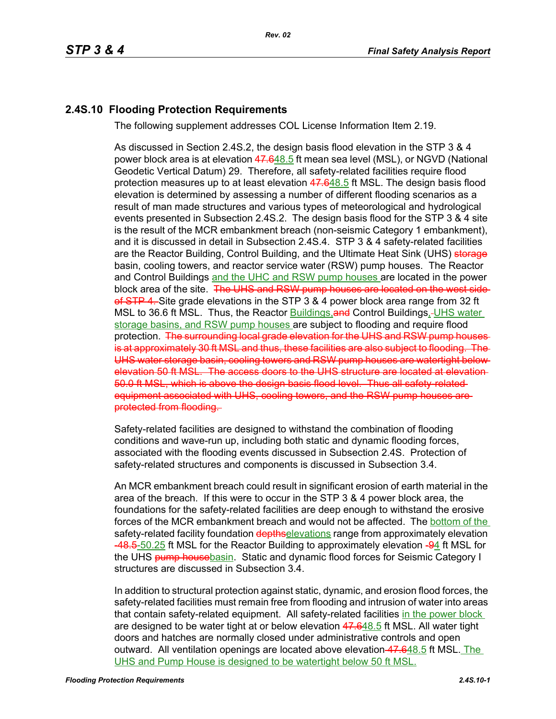## **2.4S.10 Flooding Protection Requirements**

The following supplement addresses COL License Information Item 2.19.

As discussed in Section 2.4S.2, the design basis flood elevation in the STP 3 & 4 power block area is at elevation 47.648.5 ft mean sea level (MSL), or NGVD (National Geodetic Vertical Datum) 29. Therefore, all safety-related facilities require flood protection measures up to at least elevation 47.648.5 ft MSL. The design basis flood elevation is determined by assessing a number of different flooding scenarios as a result of man made structures and various types of meteorological and hydrological events presented in Subsection 2.4S.2. The design basis flood for the STP 3 & 4 site is the result of the MCR embankment breach (non-seismic Category 1 embankment), and it is discussed in detail in Subsection 2.4S.4. STP 3 & 4 safety-related facilities are the Reactor Building, Control Building, and the Ultimate Heat Sink (UHS) storage basin, cooling towers, and reactor service water (RSW) pump houses. The Reactor and Control Buildings and the UHC and RSW pump houses are located in the power block area of the site. The UHS and RSW pump houses are located on the west side of STP 4. Site grade elevations in the STP 3 & 4 power block area range from 32 ft MSL to 36.6 ft MSL. Thus, the Reactor Buildings, and Control Buildings, -UHS water storage basins, and RSW pump houses are subject to flooding and require flood protection. The surrounding local grade elevation for the UHS and RSW pump house is at approximately 30 ft MSL and thus, these facilities are also subject to flooding. The UHS water storage basin, cooling towers and RSW pump houses are watertight below elevation 50 ft MSL. The access doors to the UHS structure are located at elevation 50.0 ft MSL, which is above the design basis flood level. Thus all safety-related equipment associated with UHS, cooling towers, and the RSW pump houses are protected from flooding.

Safety-related facilities are designed to withstand the combination of flooding conditions and wave-run up, including both static and dynamic flooding forces, associated with the flooding events discussed in Subsection 2.4S. Protection of safety-related structures and components is discussed in Subsection 3.4.

An MCR embankment breach could result in significant erosion of earth material in the area of the breach. If this were to occur in the STP 3 & 4 power block area, the foundations for the safety-related facilities are deep enough to withstand the erosive forces of the MCR embankment breach and would not be affected. The bottom of the safety-related facility foundation depthselevations range from approximately elevation 48.5-50.25 ft MSL for the Reactor Building to approximately elevation - 94 ft MSL for the UHS pump housebasin. Static and dynamic flood forces for Seismic Category I structures are discussed in Subsection 3.4.

In addition to structural protection against static, dynamic, and erosion flood forces, the safety-related facilities must remain free from flooding and intrusion of water into areas that contain safety-related equipment. All safety-related facilities in the power block are designed to be water tight at or below elevation 47.648.5 ft MSL. All water tight doors and hatches are normally closed under administrative controls and open outward. All ventilation openings are located above elevation 47.648.5 ft MSL. The UHS and Pump House is designed to be watertight below 50 ft MSL.